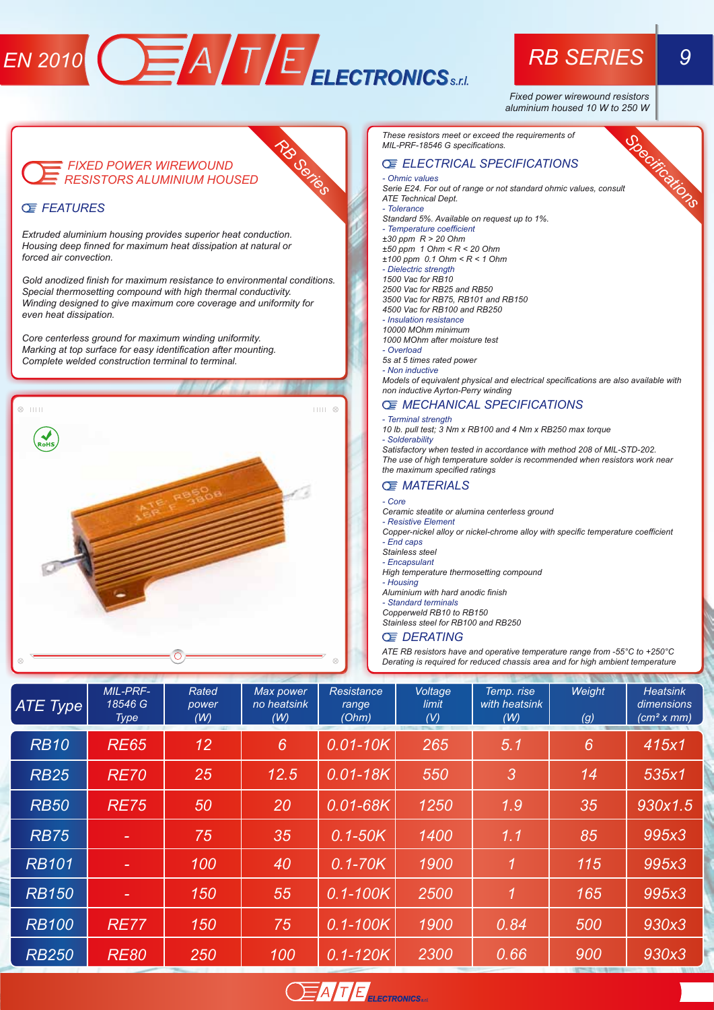# *EN 2010* **CEATER AND FEDECIRONICS**<sub>SELL</sub> **RB SERIES** 9

*RB Series*

*Fixed power wirewound resistors aluminium housed 10 W to 250 W* 

## *FIXED POWER WIREWOUND*

#### *FEATURES*

*Extruded aluminium housing provides superior heat conduction. Housing deep finned for maximum heat dissipation at natural or forced air convection.*

*Gold anodized finish for maximum resistance to environmental conditions. Special thermosetting compound with high thermal conductivity. Winding designed to give maximum core coverage and uniformity for even heat dissipation.*

*Core centerless ground for maximum winding uniformity. Marking at top surface for easy identification after mounting. Complete welded construction terminal to terminal.*



*These resistors meet or exceed the requirements of MIL-PRF-18546 G specifications.*

### *ELECTRICAL SPECIFICATIONS*

#### *- Ohmic values*

*RESISTORS ALUMINIUM HOUSED Specifications Serie E24. For out of range or not standard ohmic values, consult ATE Technical Dept. - Tolerance*

*Standard 5%. Available on request up to 1%. - Temperature coefficient*

*±30 ppm R > 20 Ohm ±50 ppm 1 Ohm < R < 20 Ohm*

*±100 ppm 0.1 Ohm < R < 1 Ohm*

#### *- Dielectric strength*

*1500 Vac for RB10 2500 Vac for RB25 and RB50 3500 Vac for RB75, RB101 and RB150 4500 Vac for RB100 and RB250*

- *Insulation resistance*
- *10000 MOhm minimum*

*1000 MOhm after moisture test*

#### *- Overload*

*5s at 5 times rated power - Non inductive*

*Models of equivalent physical and electrical specifications are also available with non inductive Ayrton-Perry winding*

#### *MECHANICAL SPECIFICATIONS*

#### *- Terminal strength*

*10 lb. pull test; 3 Nm x RB100 and 4 Nm x RB250 max torque - Solderability*

*Satisfactory when tested in accordance with method 208 of MIL-STD-202. The use of high temperature solder is recommended when resistors work near the maximum specified ratings*

#### *MATERIALS*

- *Core*
- *Ceramic steatite or alumina centerless ground*
- *Resistive Element*
- *Copper-nickel alloy or nickel-chrome alloy with specific temperature coefficient - End caps*
- *Stainless steel*
- *Encapsulant High temperature thermosetting compound*
- *Housing*

*Aluminium with hard anodic finish*

*- Standard terminals*

*Copperweld RB10 to RB150*

*Stainless steel for RB100 and RB250*

#### *DERATING*

*ATE RB resistors have and operative temperature range from -55°C to +250°C Derating is required for reduced chassis area and for high ambient temperature*

| ATE Type     | <b>MIL-PRF-</b><br>18546 G<br>Type | Rated<br>power<br>(W) | Max power<br>no heatsink<br>(W) | Resistance<br>range<br>(Ohm) | Voltage<br>limit<br>(V) | Temp. rise<br>with heatsink<br>(W) | Weight<br>(g) | <b>Heatsink</b><br>dimensions<br>(cm <sup>2</sup> x mm) |  |
|--------------|------------------------------------|-----------------------|---------------------------------|------------------------------|-------------------------|------------------------------------|---------------|---------------------------------------------------------|--|
| <b>RB10</b>  | <b>RE65</b>                        | 12                    | 6                               | $0.01 - 10K$                 | 265                     | 5.1                                | 6             | 415x1                                                   |  |
| <b>RB25</b>  | <b>RE70</b>                        | 25                    | 12.5                            | $0.01 - 18K$                 | 550                     | 3                                  | 14            | 535x1                                                   |  |
| <b>RB50</b>  | <b>RE75</b>                        | 50                    | 20                              | $0.01 - 68K$                 | 1250                    | 1.9                                | 35            | 930x1.5                                                 |  |
| <b>RB75</b>  |                                    | 75                    | 35                              | $0.1 - 50K$                  | 1400                    | 1.1                                | 85            | 995x3                                                   |  |
| <b>RB101</b> |                                    | 100                   | 40                              | $0.1 - 70K$                  | 1900                    | 1                                  | 115           | 995x3                                                   |  |
| <b>RB150</b> |                                    | 150                   | 55                              | $0.1 - 100K$                 | 2500                    | 1                                  | 165           | 995x3                                                   |  |
| <b>RB100</b> | <b>RE77</b>                        | 150                   | 75                              | $0.1 - 100K$                 | 1900                    | 0.84                               | 500           | 930x3                                                   |  |
| <b>RB250</b> | <b>RE80</b>                        | 250                   | 100                             | $0.1 - 120K$                 | 2300                    | 0.66                               | 900           | 930x3                                                   |  |